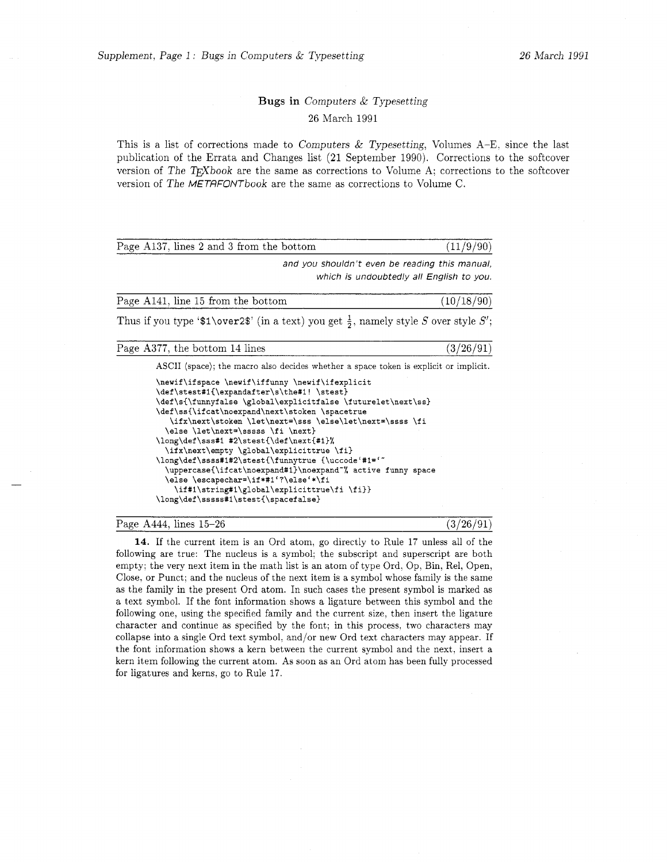## Bugs in Computers & Typesetting 26 March 1991

This is a list of corrections made to Computers & Typesetting, Volumes  $A-E$ , since the last publication of the Errata and Changes list (21 September 1990). Corrections to the softcover version of The  $T_FX$ book are the same as corrections to Volume A; corrections to the softcover version of The METRFONTbook are the same as corrections to Volume C.

| Page A137, lines 2 and 3 from the bottom | (11/9/90) |
|------------------------------------------|-----------|
|                                          |           |

*and you shouldn't even be reading this manual, which is undoubtedly all English to you.* 

Page A141, line 15 from the bottom  $(10/18/90)$ 

Thus if you type ' $\mathcal{I}\backslash \text{over2}\$ ' (in a text) you get  $\frac{1}{2}$ , namely style *S* over style *S'*;

Page A377, the bottom 14 lines  $(3/26/91)$ 

**ASCII (space); the macro also decides whether a space token is explicit or implicit.** 

| \newif\ifspace \newif\iffunny \newif\ifexplicit              |  |  |
|--------------------------------------------------------------|--|--|
| \def\stest#1{\expandafter\s\the#1!\stest}                    |  |  |
| \def\s{\funnyfalse \global\explicitfalse \futurelet\next\ss} |  |  |
| \def\ss{\ifcat\noexpand\next\stoken \spacetrue               |  |  |
| \ifx\next\stoken \let\next=\sss \else\let\next=\ssss \fi     |  |  |
| \else \let\next=\sssss \fi \next}                            |  |  |
| \long\def\sss#1 #2\stest{\def\next{#1}%                      |  |  |
| \ifx\next\empty \global\explicittrue \fi}                    |  |  |
| \long\def\ssss#1#2\stest{\funnytrue {\uccode'#1='"           |  |  |
| \uppercase{\ifcat\noexpand#1}\noexpand~% active funny space  |  |  |
| \else \escapechar=\if*#1'?\else'*\fi                         |  |  |
| \if#1\string#1\global\explicittrue\fi\fi}}                   |  |  |
| \long\def\sssss#1\stest{\spacefalse}                         |  |  |
|                                                              |  |  |

#### Page A444, lines  $15-26$  (3/26/91)

**14.** If the current item is an Ord atom, go directly to Rule 17 unless all of the following are true: The nucleus is a symbol; the subscript and superscript are both empty; the very next item in the math list is an atom of type Ord, Op, Bin, Rel, Open, Close, or Punct; and the nucleus of the next item is a symbol whose family is the same as the family in the present Ord atom. In such cases the present symbol is marked as a text symbol. If the font information shows a ligature between this symbol and the following one, using the specified family and the current size, then insert the ligature character and continue as specified by the font; in this process, two characters may collapse into a single Ord text symbol. and/or new Ord text characters may appear. If the font information shows a kern between the current symbol and the next, insert a kern item following the current atom. As soon as an Ord atom has been fully processed for ligatures and kerns, go to Rule 17.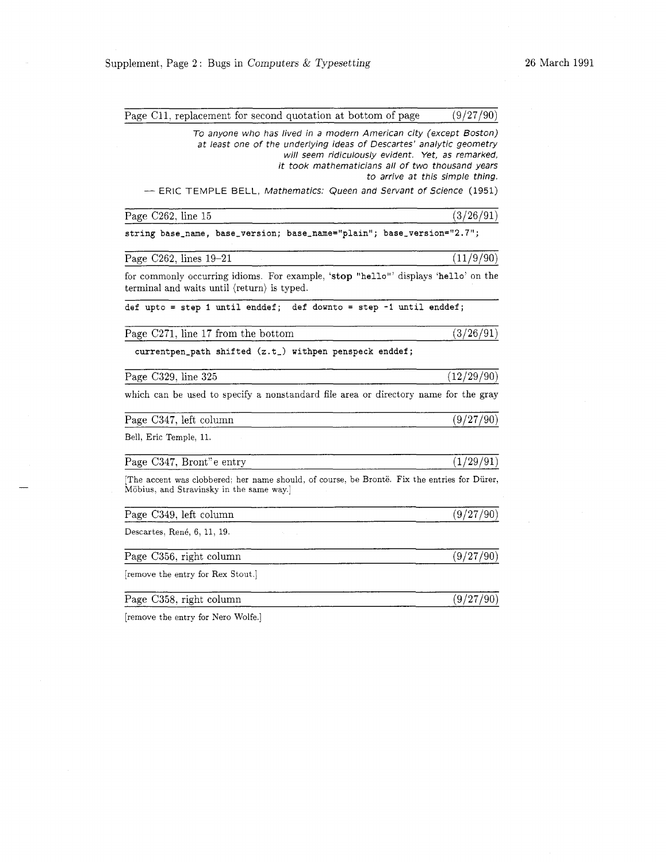| Page C11, replacement for second quotation at bottom of page                                                                                                                                                                                       | (9/27/90)                       |
|----------------------------------------------------------------------------------------------------------------------------------------------------------------------------------------------------------------------------------------------------|---------------------------------|
| To anyone who has lived in a modern American city (except Boston)<br>at least one of the underlying ideas of Descartes' analytic geometry<br>will seem ridiculously evident. Yet, as remarked,<br>it took mathematicians all of two thousand years | to arrive at this simple thing. |
| -- ERIC TEMPLE BELL, Mathematics: Queen and Servant of Science (1951)                                                                                                                                                                              |                                 |
| Page C262, line 15                                                                                                                                                                                                                                 | (3/26/91)                       |
| string base_name, base_version; base_name="plain"; base_version="2.7";                                                                                                                                                                             |                                 |
| Page C262, lines 19-21                                                                                                                                                                                                                             | (11/9/90)                       |
| for commonly occurring idioms. For example, 'stop "hello"' displays 'hello' on the<br>terminal and waits until (return) is typed.                                                                                                                  |                                 |
| def upto = step 1 until enddef; def downto = step -1 until enddef;                                                                                                                                                                                 |                                 |
| Page C271, line 17 from the bottom                                                                                                                                                                                                                 | (3/26/91)                       |
| currentpen_path shifted (z.t_) withpen penspeck enddef;                                                                                                                                                                                            |                                 |
| Page C329, line 325                                                                                                                                                                                                                                | (12/29/90)                      |
| which can be used to specify a nonstandard file area or directory name for the gray                                                                                                                                                                |                                 |
| Page C347, left column                                                                                                                                                                                                                             | (9/27/90)                       |
| Bell, Eric Temple, 11.                                                                                                                                                                                                                             |                                 |
| Page C347, Bront"e entry                                                                                                                                                                                                                           | (1/29/91)                       |
| The accent was clobbered; her name should, of course, be Brontë. Fix the entries for Dürer,<br>Möbius, and Stravinsky in the same way.]                                                                                                            |                                 |
| Page C349, left column                                                                                                                                                                                                                             | (9/27/90)                       |
| Descartes, René, 6, 11, 19.                                                                                                                                                                                                                        |                                 |
| Page C356, right column                                                                                                                                                                                                                            | (9/27/90)                       |
| [remove the entry for Rex Stout.]                                                                                                                                                                                                                  |                                 |
| Page C358, right column                                                                                                                                                                                                                            | (9/27/90)                       |

[remove the entry for Nero Wolfe.]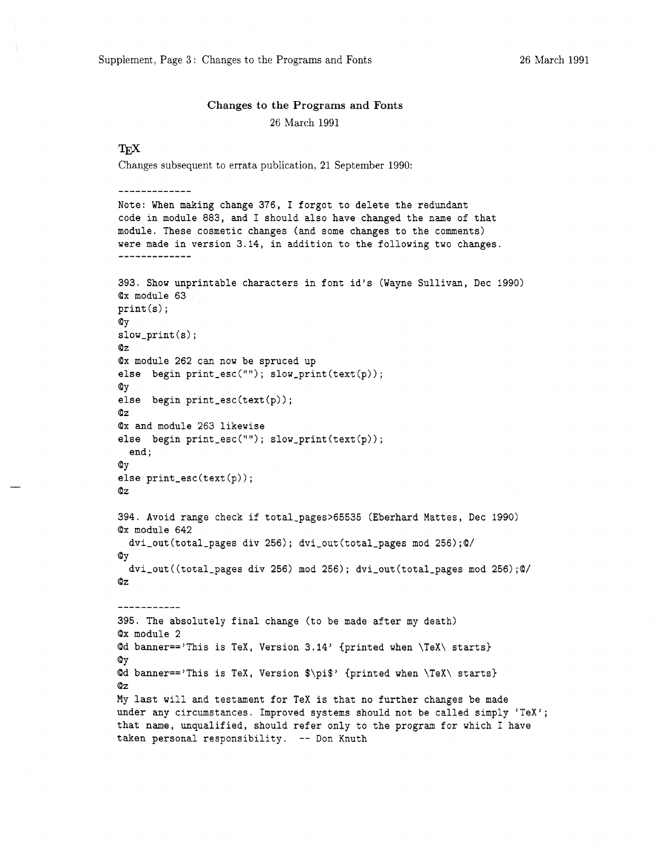Supplement, Page 3: Changes to the Programs and Fonts 26 March 1991

# Changes to the Programs and Fonts 26 March 1991

### **T<sub>F</sub>X**

-------------

Changes subsequent to errata publication, 21 September 1990:

Note: When making change 376, I forgot to delete the redundant code in module 883, and I should also have changed the name of that module. These cosmetic changes (and some changes to the comments) were made in version 3.14, in addition to the following two changes. ------------- 393. Show unprintable characters in font id's (Wayne Sullivan, Dec 1990) Qx module 63 print(s); QY slow-print (s) ; Qz Qx module 262 can now be spruced up else begin  $print\_esc("")$ ;  $slow\_print(text(p))$ ; QY else begin print\_esc(text(p)); Qz Qx and module 263 likewise else begin print\_esc(""); slow\_print(text(p)); end ; QY else print\_esc(text(p)); Qz 394. Avoid range check if total\_pages>65535 (Eberhard Mattes, Dec 1990) Qx module 642 dvi-out (total-pages div 256) ; dvi-out (total-pages mod 256) ;Q/ QY dvi-out ((total-pages div 256) mod 256) ; dvi-out (total-pages mod 256) ;Q/ Qz ----------- 395. The absolutely final change (to be made after my death) Qx module 2  $Qd$  banner=='This is TeX, Version 3.14' {printed when \TeX\ starts} QY Qd banner=='This is TeX, Version \$\pi\$' {printed when \TeX\ starts) Qz My last will and testament for TeX is that no further changes be made under any circumstances. Improved systems should not be called simply 'TeX'; that name, unqualified, should refer only to the program for which I have taken personal responsibility. -- Don Knuth